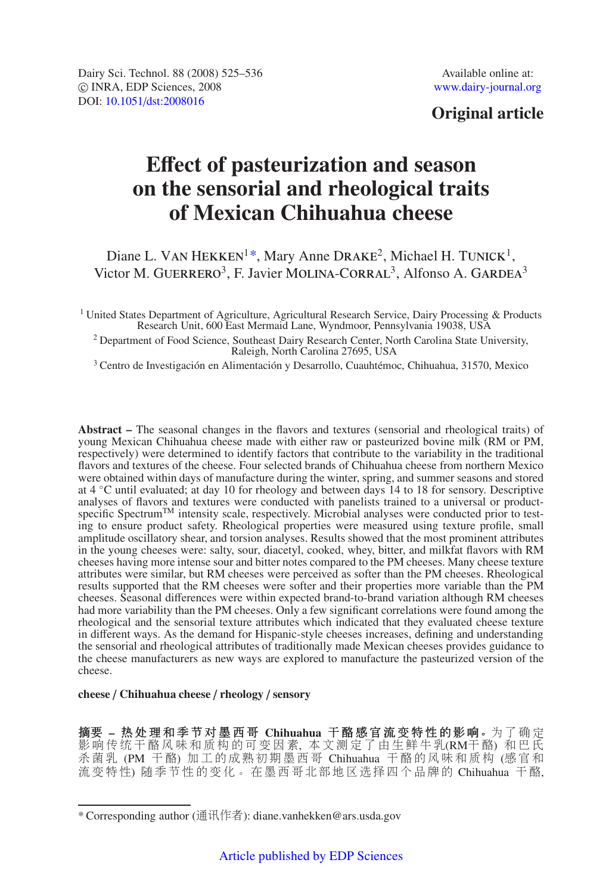# **Original article**

# **E**ff**ect of pasteurization and season on the sensorial and rheological traits of Mexican Chihuahua cheese**

Diane L. VAN HEKKEN<sup>1\*</sup>, Mary Anne DRAKE<sup>2</sup>, Michael H. TUNICK<sup>1</sup>, Victor M. GUERRERO<sup>3</sup>, F. Javier MOLINA-CORRAL<sup>3</sup>, Alfonso A. GARDEA<sup>3</sup>

<sup>1</sup> United States Department of Agriculture, Agricultural Research Service, Dairy Processing & Products Research Unit, 600 East Mermaid Lane, Wyndmoor, Pennsylvania 19038, USA <sup>2</sup> Department of Food Science, Southeast Dairy Research Center, North Carolina State University,

Raleigh, North Carolina 27695, USA

<sup>3</sup> Centro de Investigación en Alimentación y Desarrollo, Cuauhtémoc, Chihuahua, 31570, Mexico

**Abstract –** The seasonal changes in the flavors and textures (sensorial and rheological traits) of young Mexican Chihuahua cheese made with either raw or pasteurized bovine milk (RM or PM, respectively) were determined to identify factors that contribute to the variability in the traditional flavors and textures of the cheese. Four selected brands of Chihuahua cheese from northern Mexico were obtained within days of manufacture during the winter, spring, and summer seasons and stored at 4 ◦C until evaluated; at day 10 for rheology and between days 14 to 18 for sensory. Descriptive analyses of flavors and textures were conducted with panelists trained to a universal or productspecific Spectrum<sup>TM</sup> intensity scale, respectively. Microbial analyses were conducted prior to testing to ensure product safety. Rheological properties were measured using texture profile, small amplitude oscillatory shear, and torsion analyses. Results showed that the most prominent attributes in the young cheeses were: salty, sour, diacetyl, cooked, whey, bitter, and milkfat flavors with RM cheeses having more intense sour and bitter notes compared to the PM cheeses. Many cheese texture attributes were similar, but RM cheeses were perceived as softer than the PM cheeses. Rheological results supported that the RM cheeses were softer and their properties more variable than the PM cheeses. Seasonal differences were within expected brand-to-brand variation although RM cheeses had more variability than the PM cheeses. Only a few significant correlations were found among the rheological and the sensorial texture attributes which indicated that they evaluated cheese texture in different ways. As the demand for Hispanic-style cheeses increases, defining and understanding the sensorial and rheological attributes of traditionally made Mexican cheeses provides guidance to the cheese manufacturers as new ways are explored to manufacture the pasteurized version of the cheese.

# **cheese** / **Chihuahua cheese** / **rheology** / **sensory**

摘要 **–** 热 处 理 和 季 节 对 墨 西 哥 **Chihuahua** 干 酪 感 官 流 变 特 性 的 影 响。为了确定 影响传统干酪风味和质构的可变因素, 本文测定了由生鲜牛乳(RM干酪) 和巴氏 杀菌乳 (PM 干酪) 加工的成熟初期墨西哥 Chihuahua 干酪的风味和质构 (感官和 流变特性) 随季节性的变化。在墨西哥北部地区选择四个品牌的 Chihuahua 干酪,

<sup>\*</sup> Corresponding author (通讯作者): diane.vanhekken@ars.usda.gov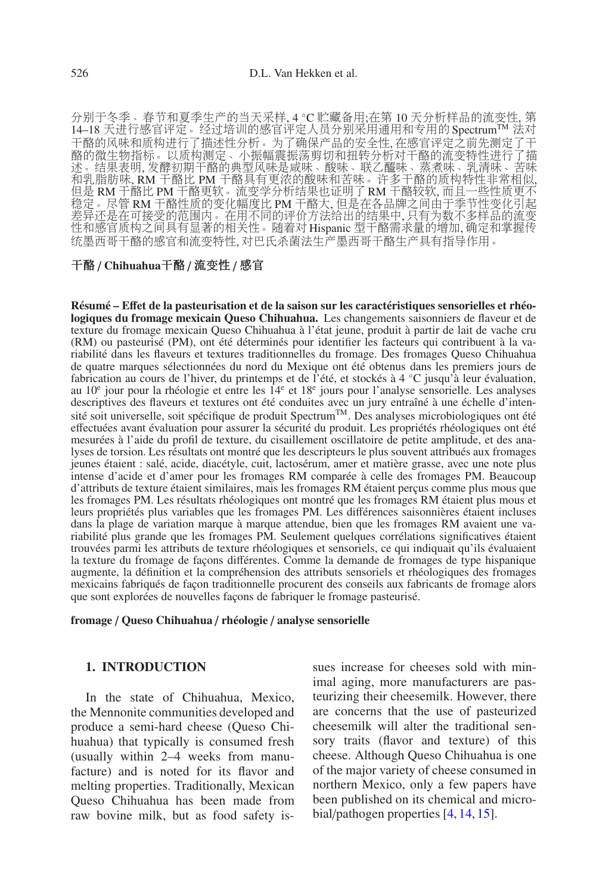分别于冬季、春节和夏季生产的当天采样, 4 ◦C 贮藏备用;在第 10 天分析样品的流变性, 第 14–18 天进行感官评定。经过培训的感官评定人员分别采用通用和专用的 SpectrumTM 法对 干酪的风味和质构进行了描述性分析。为了确保产品的安全性, 在感官评定之前先测定了干 酪的微生物指标。以质构测定、小振幅震振荡剪切和扭转分析对干酪的流变特性进行了描 述。结果表明, 发酵初期干酪的典型风味是咸味、酸味、联乙醯味、蒸煮味、乳清味、苦味 和乳脂肪味, RM 干酪比 PM 干酪具有更浓的酸味和苦味。许多干酪的质构特性非常相似, 但是 RM 干酪比 PM 干酪更软。流变学分析结果也证明了 RM 干酪较软, 而且一些性质更不 稳定。尽管 RM 干酪性质的变化幅度比 PM 干酪大, 但是在各品牌之间由于季节性变化引起 差异还是在可接受的范围内。在用不同的评价方法给出的结果中,只有为数不多样品的流变 性和感官质构之间具有显著的相关性。随着对Hispanic 型干酪需求量的增加, 确定和掌握传 统墨西哥干酪的感官和流变特性, 对巴氏杀菌法生产墨西哥干酪生产具有指导作用。

# 干酪 / **Chihuahua**干酪 / 流变性 / 感官

**Résumé – E**ff**et de la pasteurisation et de la saison sur les caractéristiques sensorielles et rhéologiques du fromage mexicain Queso Chihuahua.** Les changements saisonniers de flaveur et de texture du fromage mexicain Queso Chihuahua à l'état jeune, produit à partir de lait de vache cru (RM) ou pasteurisé (PM), ont été déterminés pour identifier les facteurs qui contribuent à la variabilité dans les flaveurs et textures traditionnelles du fromage. Des fromages Queso Chihuahua de quatre marques sélectionnées du nord du Mexique ont été obtenus dans les premiers jours de fabrication au cours de l'hiver, du printemps et de l'été, et stockés à 4 ◦C jusqu'à leur évaluation, au  $10^e$  jour pour la rhéologie et entre les  $14^e$  et  $18^e$  jours pour l'analyse sensorielle. Les analyses descriptives des flaveurs et textures ont été conduites avec un jury entraîné à une échelle d'intensité soit universelle, soit spécifique de produit Spectrum™. Des analyses microbiologiques ont été effectuées avant évaluation pour assurer la sécurité du produit. Les propriétés rhéologiques ont été mesurées à l'aide du profil de texture, du cisaillement oscillatoire de petite amplitude, et des analyses de torsion. Les résultats ont montré que les descripteurs le plus souvent attribués aux fromages jeunes étaient : salé, acide, diacétyle, cuit, lactosérum, amer et matière grasse, avec une note plus intense d'acide et d'amer pour les fromages RM comparée à celle des fromages PM. Beaucoup d'attributs de texture étaient similaires, mais les fromages RM étaient perçus comme plus mous que les fromages PM. Les résultats rhéologiques ont montré que les fromages RM étaient plus mous et leurs propriétés plus variables que les fromages PM. Les différences saisonnières étaient incluses dans la plage de variation marque à marque attendue, bien que les fromages RM avaient une variabilité plus grande que les fromages PM. Seulement quelques corrélations significatives étaient trouvées parmi les attributs de texture rhéologiques et sensoriels, ce qui indiquait qu'ils évaluaient la texture du fromage de façons différentes. Comme la demande de fromages de type hispanique augmente, la définition et la compréhension des attributs sensoriels et rhéologiques des fromages mexicains fabriqués de façon traditionnelle procurent des conseils aux fabricants de fromage alors que sont explorées de nouvelles façons de fabriquer le fromage pasteurisé.

#### **fromage** / **Queso Chihuahua** / **rhéologie** / **analyse sensorielle**

# **1. INTRODUCTION**

In the state of Chihuahua, Mexico, the Mennonite communities developed and produce a semi-hard cheese (Queso Chihuahua) that typically is consumed fresh (usually within 2–4 weeks from manufacture) and is noted for its flavor and melting properties. Traditionally, Mexican Queso Chihuahua has been made from raw bovine milk, but as food safety issues increase for cheeses sold with minimal aging, more manufacturers are pasteurizing their cheesemilk. However, there are concerns that the use of pasteurized cheesemilk will alter the traditional sensory traits (flavor and texture) of this cheese. Although Queso Chihuahua is one of the major variety of cheese consumed in northern Mexico, only a few papers have been published on its chemical and microbial/pathogen properties [\[4](#page-11-0), [14](#page-11-1), [15\]](#page-11-2).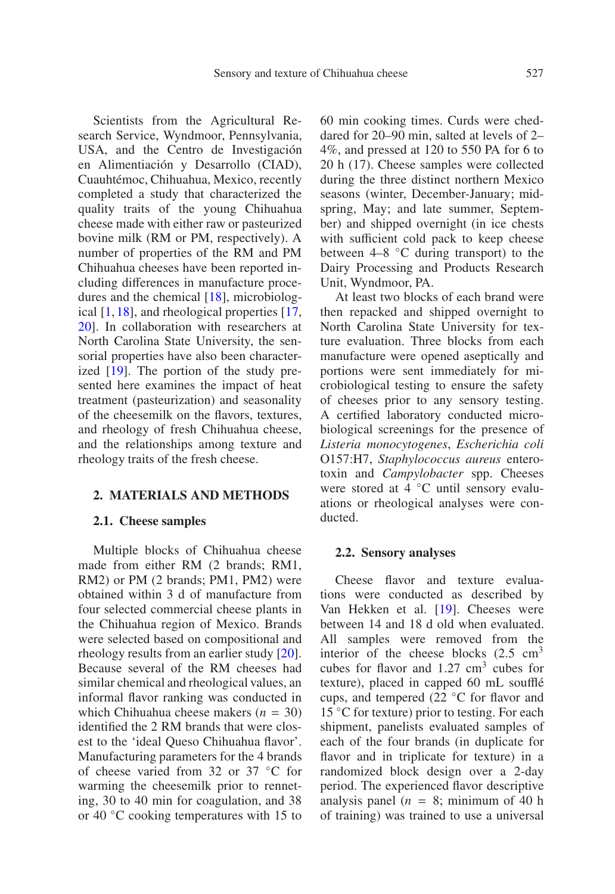Scientists from the Agricultural Research Service, Wyndmoor, Pennsylvania, USA, and the Centro de Investigación en Alimentiación y Desarrollo (CIAD), Cuauhtémoc, Chihuahua, Mexico, recently completed a study that characterized the quality traits of the young Chihuahua cheese made with either raw or pasteurized bovine milk (RM or PM, respectively). A number of properties of the RM and PM Chihuahua cheeses have been reported including differences in manufacture procedures and the chemical [\[18\]](#page-11-3), microbiological [\[1,](#page-10-0) [18\]](#page-11-3), and rheological properties [\[17](#page-11-4), [20\]](#page-11-5). In collaboration with researchers at North Carolina State University, the sensorial properties have also been characterized [\[19\]](#page-11-6). The portion of the study presented here examines the impact of heat treatment (pasteurization) and seasonality of the cheesemilk on the flavors, textures, and rheology of fresh Chihuahua cheese, and the relationships among texture and rheology traits of the fresh cheese.

# **2. MATERIALS AND METHODS**

#### **2.1. Cheese samples**

Multiple blocks of Chihuahua cheese made from either RM (2 brands; RM1, RM2) or PM (2 brands; PM1, PM2) were obtained within 3 d of manufacture from four selected commercial cheese plants in the Chihuahua region of Mexico. Brands were selected based on compositional and rheology results from an earlier study [\[20\]](#page-11-5). Because several of the RM cheeses had similar chemical and rheological values, an informal flavor ranking was conducted in which Chihuahua cheese makers (*n* = 30) identified the 2 RM brands that were closest to the 'ideal Queso Chihuahua flavor'. Manufacturing parameters for the 4 brands of cheese varied from 32 or 37 ◦C for warming the cheesemilk prior to renneting, 30 to 40 min for coagulation, and 38 or 40 ◦C cooking temperatures with 15 to

60 min cooking times. Curds were cheddared for 20–90 min, salted at levels of 2– 4%, and pressed at 120 to 550 PA for 6 to 20 h (17). Cheese samples were collected during the three distinct northern Mexico seasons (winter, December-January; midspring, May; and late summer, September) and shipped overnight (in ice chests with sufficient cold pack to keep cheese between 4–8 ◦C during transport) to the Dairy Processing and Products Research Unit, Wyndmoor, PA.

At least two blocks of each brand were then repacked and shipped overnight to North Carolina State University for texture evaluation. Three blocks from each manufacture were opened aseptically and portions were sent immediately for microbiological testing to ensure the safety of cheeses prior to any sensory testing. A certified laboratory conducted microbiological screenings for the presence of *Listeria monocytogenes*, *Escherichia coli* O157:H7, *Staphylococcus aureus* enterotoxin and *Campylobacter* spp. Cheeses were stored at 4 ◦C until sensory evaluations or rheological analyses were conducted.

#### **2.2. Sensory analyses**

Cheese flavor and texture evaluations were conducted as described by Van Hekken et al. [\[19](#page-11-6)]. Cheeses were between 14 and 18 d old when evaluated. All samples were removed from the interior of the cheese blocks  $(2.5 \text{ cm}^3)$ cubes for flavor and  $1.27 \text{ cm}^3$  cubes for texture), placed in capped 60 mL soufflé cups, and tempered (22 ◦C for flavor and 15 ◦C for texture) prior to testing. For each shipment, panelists evaluated samples of each of the four brands (in duplicate for flavor and in triplicate for texture) in a randomized block design over a 2-day period. The experienced flavor descriptive analysis panel ( $n = 8$ ; minimum of 40 h of training) was trained to use a universal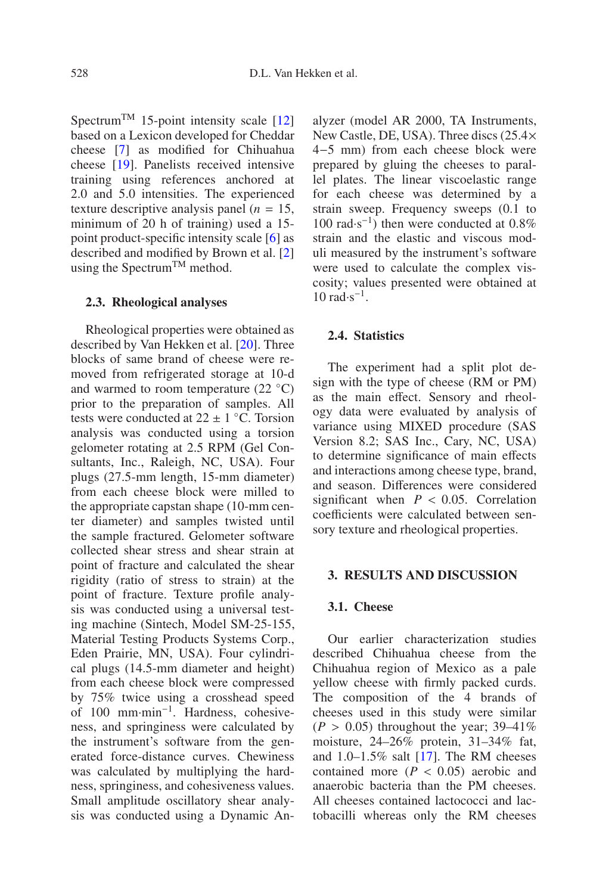Spectrum<sup>TM</sup> 15-point intensity scale [\[12\]](#page-11-7) based on a Lexicon developed for Cheddar cheese [\[7\]](#page-11-8) as modified for Chihuahua cheese [\[19\]](#page-11-6). Panelists received intensive training using references anchored at 2.0 and 5.0 intensities. The experienced texture descriptive analysis panel ( $n = 15$ , minimum of 20 h of training) used a 15 point product-specific intensity scale [\[6](#page-11-9)] as described and modified by Brown et al. [\[2\]](#page-10-1) using the Spectrum<sup>TM</sup> method.

#### **2.3. Rheological analyses**

Rheological properties were obtained as described by Van Hekken et al. [\[20\]](#page-11-5). Three blocks of same brand of cheese were removed from refrigerated storage at 10-d and warmed to room temperature  $(22 \degree C)$ prior to the preparation of samples. All tests were conducted at  $22 \pm 1$  °C. Torsion analysis was conducted using a torsion gelometer rotating at 2.5 RPM (Gel Consultants, Inc., Raleigh, NC, USA). Four plugs (27.5-mm length, 15-mm diameter) from each cheese block were milled to the appropriate capstan shape (10-mm center diameter) and samples twisted until the sample fractured. Gelometer software collected shear stress and shear strain at point of fracture and calculated the shear rigidity (ratio of stress to strain) at the point of fracture. Texture profile analysis was conducted using a universal testing machine (Sintech, Model SM-25-155, Material Testing Products Systems Corp., Eden Prairie, MN, USA). Four cylindrical plugs (14.5-mm diameter and height) from each cheese block were compressed by 75% twice using a crosshead speed of 100 mm·min−1. Hardness, cohesiveness, and springiness were calculated by the instrument's software from the generated force-distance curves. Chewiness was calculated by multiplying the hardness, springiness, and cohesiveness values. Small amplitude oscillatory shear analysis was conducted using a Dynamic Analyzer (model AR 2000, TA Instruments, New Castle, DE, USA). Three discs (25.4× 4−5 mm) from each cheese block were prepared by gluing the cheeses to parallel plates. The linear viscoelastic range for each cheese was determined by a strain sweep. Frequency sweeps (0.1 to 100 rad·s−1) then were conducted at 0.8% strain and the elastic and viscous moduli measured by the instrument's software were used to calculate the complex viscosity; values presented were obtained at  $10 \text{ rad·s}^{-1}$ .

# **2.4. Statistics**

The experiment had a split plot design with the type of cheese (RM or PM) as the main effect. Sensory and rheology data were evaluated by analysis of variance using MIXED procedure (SAS Version 8.2; SAS Inc., Cary, NC, USA) to determine significance of main effects and interactions among cheese type, brand, and season. Differences were considered significant when  $P < 0.05$ . Correlation coefficients were calculated between sensory texture and rheological properties.

# **3. RESULTS AND DISCUSSION**

#### **3.1. Cheese**

Our earlier characterization studies described Chihuahua cheese from the Chihuahua region of Mexico as a pale yellow cheese with firmly packed curds. The composition of the 4 brands of cheeses used in this study were similar  $(P > 0.05)$  throughout the year; 39–41% moisture, 24–26% protein, 31–34% fat, and  $1.0-1.5\%$  salt [\[17\]](#page-11-4). The RM cheeses contained more  $(P < 0.05)$  aerobic and anaerobic bacteria than the PM cheeses. All cheeses contained lactococci and lactobacilli whereas only the RM cheeses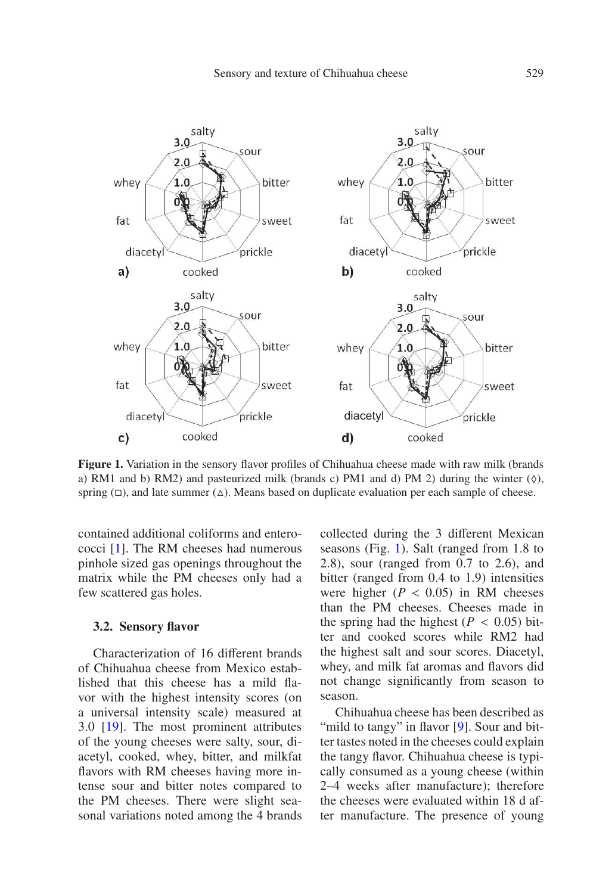<span id="page-4-0"></span>

**Figure 1.** Variation in the sensory flavor profiles of Chihuahua cheese made with raw milk (brands a) RM1 and b) RM2) and pasteurized milk (brands c) PM1 and d) PM 2) during the winter  $(\Diamond)$ , spring  $(\Box)$ , and late summer  $(\triangle)$ . Means based on duplicate evaluation per each sample of cheese.

contained additional coliforms and enterococci [\[1](#page-10-0)]. The RM cheeses had numerous pinhole sized gas openings throughout the matrix while the PM cheeses only had a few scattered gas holes.

# **3.2. Sensory flavor**

Characterization of 16 different brands of Chihuahua cheese from Mexico established that this cheese has a mild flavor with the highest intensity scores (on a universal intensity scale) measured at 3.0 [\[19\]](#page-11-6). The most prominent attributes of the young cheeses were salty, sour, diacetyl, cooked, whey, bitter, and milkfat flavors with RM cheeses having more intense sour and bitter notes compared to the PM cheeses. There were slight seasonal variations noted among the 4 brands collected during the 3 different Mexican seasons (Fig. [1\)](#page-4-0). Salt (ranged from 1.8 to 2.8), sour (ranged from 0.7 to 2.6), and bitter (ranged from 0.4 to 1.9) intensities were higher  $(P < 0.05)$  in RM cheeses than the PM cheeses. Cheeses made in the spring had the highest ( $P < 0.05$ ) bitter and cooked scores while RM2 had the highest salt and sour scores. Diacetyl, whey, and milk fat aromas and flavors did not change significantly from season to season.

Chihuahua cheese has been described as "mild to tangy" in flavor [\[9](#page-11-10)]. Sour and bitter tastes noted in the cheeses could explain the tangy flavor. Chihuahua cheese is typically consumed as a young cheese (within 2–4 weeks after manufacture); therefore the cheeses were evaluated within 18 d after manufacture. The presence of young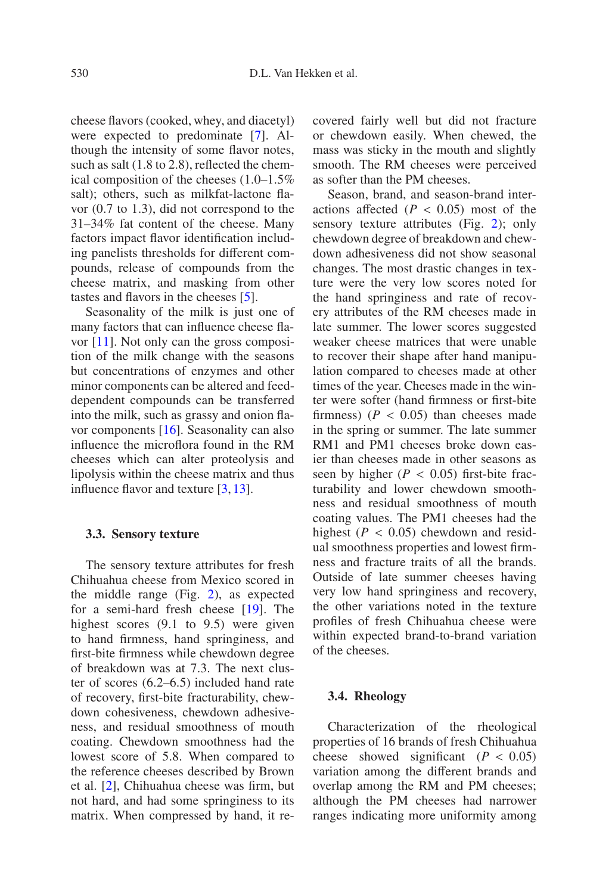cheese flavors (cooked, whey, and diacetyl) were expected to predominate [\[7\]](#page-11-8). Although the intensity of some flavor notes, such as salt (1.8 to 2.8), reflected the chemical composition of the cheeses (1.0–1.5% salt); others, such as milkfat-lactone flavor (0.7 to 1.3), did not correspond to the 31–34% fat content of the cheese. Many factors impact flavor identification including panelists thresholds for different compounds, release of compounds from the cheese matrix, and masking from other tastes and flavors in the cheeses [\[5\]](#page-11-11).

Seasonality of the milk is just one of many factors that can influence cheese flavor [\[11](#page-11-12)]. Not only can the gross composition of the milk change with the seasons but concentrations of enzymes and other minor components can be altered and feeddependent compounds can be transferred into the milk, such as grassy and onion flavor components [\[16\]](#page-11-13). Seasonality can also influence the microflora found in the RM cheeses which can alter proteolysis and lipolysis within the cheese matrix and thus influence flavor and texture [\[3,](#page-11-14) [13](#page-11-15)].

# **3.3. Sensory texture**

The sensory texture attributes for fresh Chihuahua cheese from Mexico scored in the middle range (Fig. [2\)](#page-6-0), as expected for a semi-hard fresh cheese [\[19](#page-11-6)]. The highest scores (9.1 to 9.5) were given to hand firmness, hand springiness, and first-bite firmness while chewdown degree of breakdown was at 7.3. The next cluster of scores (6.2–6.5) included hand rate of recovery, first-bite fracturability, chewdown cohesiveness, chewdown adhesiveness, and residual smoothness of mouth coating. Chewdown smoothness had the lowest score of 5.8. When compared to the reference cheeses described by Brown et al. [\[2\]](#page-10-1), Chihuahua cheese was firm, but not hard, and had some springiness to its matrix. When compressed by hand, it recovered fairly well but did not fracture or chewdown easily. When chewed, the mass was sticky in the mouth and slightly smooth. The RM cheeses were perceived as softer than the PM cheeses.

Season, brand, and season-brand interactions affected  $(P < 0.05)$  most of the sensory texture attributes (Fig. [2\)](#page-6-0); only chewdown degree of breakdown and chewdown adhesiveness did not show seasonal changes. The most drastic changes in texture were the very low scores noted for the hand springiness and rate of recovery attributes of the RM cheeses made in late summer. The lower scores suggested weaker cheese matrices that were unable to recover their shape after hand manipulation compared to cheeses made at other times of the year. Cheeses made in the winter were softer (hand firmness or first-bite firmness)  $(P < 0.05)$  than cheeses made in the spring or summer. The late summer RM1 and PM1 cheeses broke down easier than cheeses made in other seasons as seen by higher ( $P < 0.05$ ) first-bite fracturability and lower chewdown smoothness and residual smoothness of mouth coating values. The PM1 cheeses had the highest ( $P < 0.05$ ) chewdown and residual smoothness properties and lowest firmness and fracture traits of all the brands. Outside of late summer cheeses having very low hand springiness and recovery, the other variations noted in the texture profiles of fresh Chihuahua cheese were within expected brand-to-brand variation of the cheeses.

#### **3.4. Rheology**

Characterization of the rheological properties of 16 brands of fresh Chihuahua cheese showed significant  $(P < 0.05)$ variation among the different brands and overlap among the RM and PM cheeses; although the PM cheeses had narrower ranges indicating more uniformity among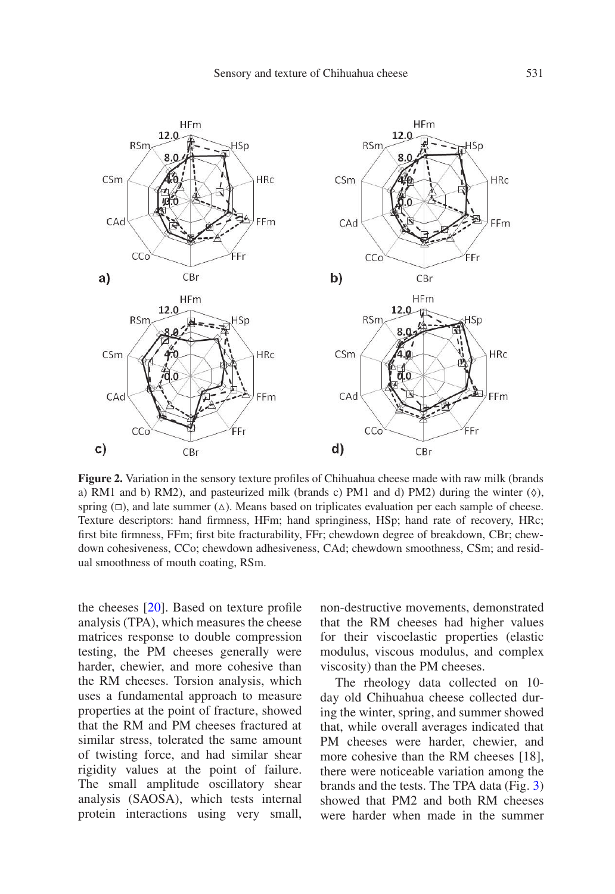

<span id="page-6-0"></span>**Figure 2.** Variation in the sensory texture profiles of Chihuahua cheese made with raw milk (brands a) RM1 and b) RM2), and pasteurized milk (brands c) PM1 and d) PM2) during the winter  $(\Diamond)$ , spring  $(\Box)$ , and late summer  $(\triangle)$ . Means based on triplicates evaluation per each sample of cheese. Texture descriptors: hand firmness, HFm; hand springiness, HSp; hand rate of recovery, HRc; first bite firmness, FFm; first bite fracturability, FFr; chewdown degree of breakdown, CBr; chewdown cohesiveness, CCo; chewdown adhesiveness, CAd; chewdown smoothness, CSm; and residual smoothness of mouth coating, RSm.

the cheeses [\[20](#page-11-5)]. Based on texture profile analysis (TPA), which measures the cheese matrices response to double compression testing, the PM cheeses generally were harder, chewier, and more cohesive than the RM cheeses. Torsion analysis, which uses a fundamental approach to measure properties at the point of fracture, showed that the RM and PM cheeses fractured at similar stress, tolerated the same amount of twisting force, and had similar shear rigidity values at the point of failure. The small amplitude oscillatory shear analysis (SAOSA), which tests internal protein interactions using very small, non-destructive movements, demonstrated that the RM cheeses had higher values for their viscoelastic properties (elastic modulus, viscous modulus, and complex viscosity) than the PM cheeses.

The rheology data collected on 10 day old Chihuahua cheese collected during the winter, spring, and summer showed that, while overall averages indicated that PM cheeses were harder, chewier, and more cohesive than the RM cheeses [18], there were noticeable variation among the brands and the tests. The TPA data (Fig. [3\)](#page-7-0) showed that PM2 and both RM cheeses were harder when made in the summer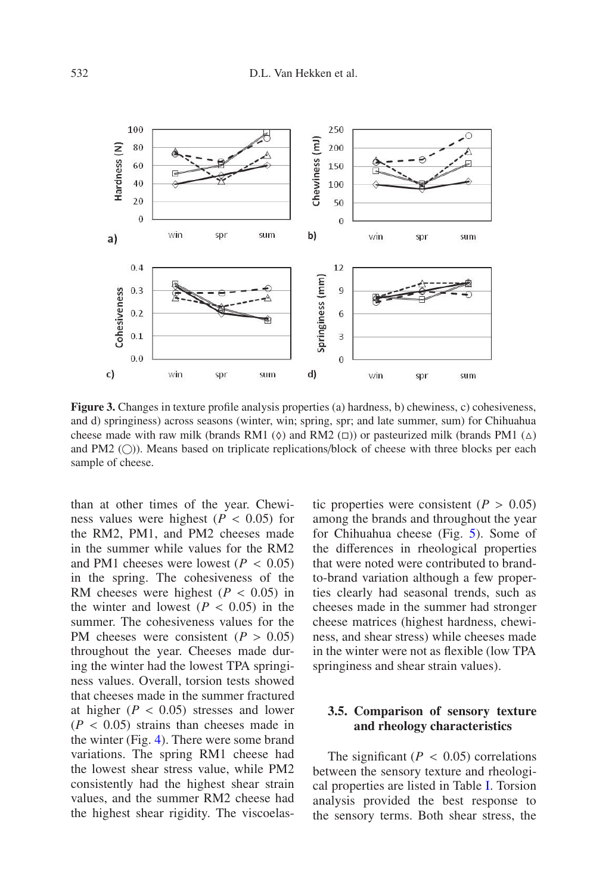<span id="page-7-0"></span>

**Figure 3.** Changes in texture profile analysis properties (a) hardness, b) chewiness, c) cohesiveness, and d) springiness) across seasons (winter, win; spring, spr; and late summer, sum) for Chihuahua cheese made with raw milk (brands RM1 ( $\Diamond$ ) and RM2 ( $\Box$ )) or pasteurized milk (brands PM1 ( $\triangle$ ) and PM2 (O)). Means based on triplicate replications/block of cheese with three blocks per each sample of cheese.

than at other times of the year. Chewiness values were highest ( $\dot{P}$  < 0.05) for the RM2, PM1, and PM2 cheeses made in the summer while values for the RM2 and PM1 cheeses were lowest  $(P < 0.05)$ in the spring. The cohesiveness of the RM cheeses were highest  $(P < 0.05)$  in the winter and lowest  $(P < 0.05)$  in the summer. The cohesiveness values for the PM cheeses were consistent  $(P > 0.05)$ throughout the year. Cheeses made during the winter had the lowest TPA springiness values. Overall, torsion tests showed that cheeses made in the summer fractured at higher  $(P < 0.05)$  stresses and lower  $(P < 0.05)$  strains than cheeses made in the winter (Fig. [4\)](#page-8-0). There were some brand variations. The spring RM1 cheese had the lowest shear stress value, while PM2 consistently had the highest shear strain values, and the summer RM2 cheese had the highest shear rigidity. The viscoelastic properties were consistent ( $P > 0.05$ ) among the brands and throughout the year for Chihuahua cheese (Fig. [5\)](#page-9-0). Some of the differences in rheological properties that were noted were contributed to brandto-brand variation although a few properties clearly had seasonal trends, such as cheeses made in the summer had stronger cheese matrices (highest hardness, chewiness, and shear stress) while cheeses made in the winter were not as flexible (low TPA springiness and shear strain values).

# **3.5. Comparison of sensory texture and rheology characteristics**

The significant ( $P < 0.05$ ) correlations between the sensory texture and rheological properties are listed in Table [I.](#page-8-1) Torsion analysis provided the best response to the sensory terms. Both shear stress, the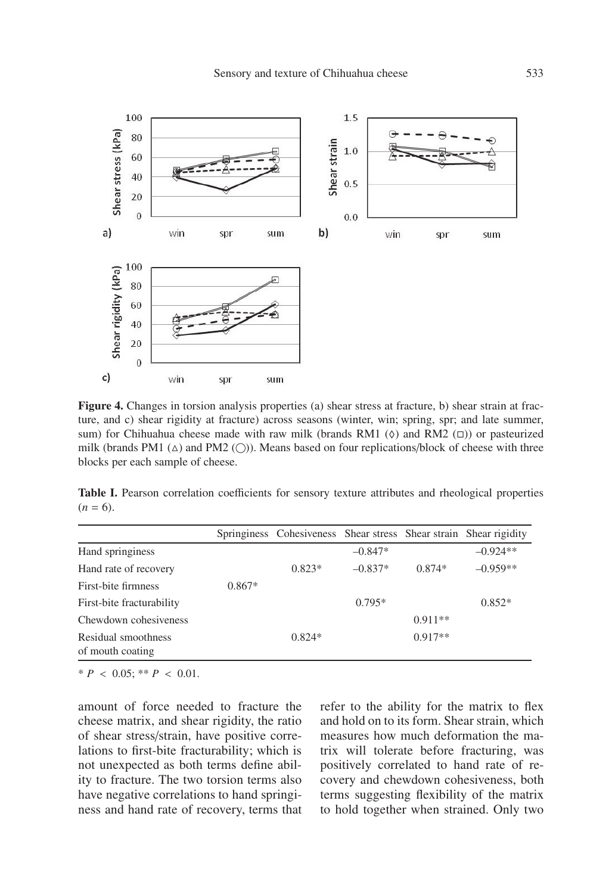<span id="page-8-0"></span>

<span id="page-8-1"></span>**Figure 4.** Changes in torsion analysis properties (a) shear stress at fracture, b) shear strain at fracture, and c) shear rigidity at fracture) across seasons (winter, win; spring, spr; and late summer, sum) for Chihuahua cheese made with raw milk (brands RM1  $(\lozenge)$  and RM2  $(\square)$ ) or pasteurized milk (brands PM1  $(\triangle)$  and PM2  $(\triangle)$ ). Means based on four replications/block of cheese with three blocks per each sample of cheese.

**Table I.** Pearson correlation coefficients for sensory texture attributes and rheological properties  $(n = 6)$ .

|                                         |          | Springiness Cohesiveness Shear stress Shear strain Shear rigidity |           |           |            |
|-----------------------------------------|----------|-------------------------------------------------------------------|-----------|-----------|------------|
| Hand springiness                        |          |                                                                   | $-0.847*$ |           | $-0.924**$ |
| Hand rate of recovery                   |          | $0.823*$                                                          | $-0.837*$ | $0.874*$  | $-0.959**$ |
| First-bite firmness                     | $0.867*$ |                                                                   |           |           |            |
| First-bite fracturability               |          |                                                                   | $0.795*$  |           | $0.852*$   |
| Chewdown cohesiveness                   |          |                                                                   |           | $0.911**$ |            |
| Residual smoothness<br>of mouth coating |          | $0.824*$                                                          |           | $0.917**$ |            |

 $* P < 0.05$ ;  $* P < 0.01$ .

amount of force needed to fracture the cheese matrix, and shear rigidity, the ratio of shear stress/strain, have positive correlations to first-bite fracturability; which is not unexpected as both terms define ability to fracture. The two torsion terms also have negative correlations to hand springiness and hand rate of recovery, terms that refer to the ability for the matrix to flex and hold on to its form. Shear strain, which measures how much deformation the matrix will tolerate before fracturing, was positively correlated to hand rate of recovery and chewdown cohesiveness, both terms suggesting flexibility of the matrix to hold together when strained. Only two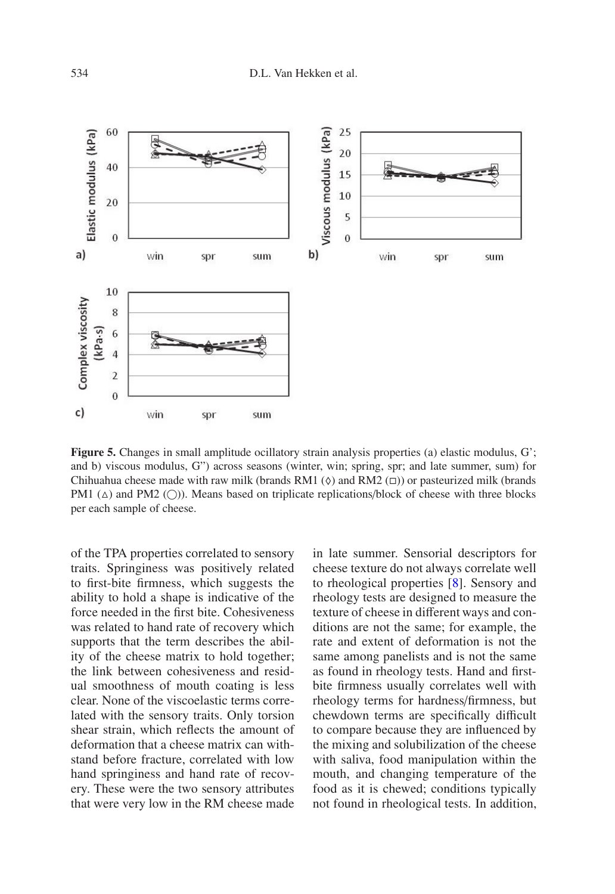<span id="page-9-0"></span>

**Figure 5.** Changes in small amplitude ocillatory strain analysis properties (a) elastic modulus, G'; and b) viscous modulus, G") across seasons (winter, win; spring, spr; and late summer, sum) for Chihuahua cheese made with raw milk (brands RM1  $(\lozenge)$  and RM2  $(\square)$ ) or pasteurized milk (brands PM1  $(\triangle)$  and PM2  $(\triangle)$ ). Means based on triplicate replications/block of cheese with three blocks per each sample of cheese.

of the TPA properties correlated to sensory traits. Springiness was positively related to first-bite firmness, which suggests the ability to hold a shape is indicative of the force needed in the first bite. Cohesiveness was related to hand rate of recovery which supports that the term describes the ability of the cheese matrix to hold together; the link between cohesiveness and residual smoothness of mouth coating is less clear. None of the viscoelastic terms correlated with the sensory traits. Only torsion shear strain, which reflects the amount of deformation that a cheese matrix can withstand before fracture, correlated with low hand springiness and hand rate of recovery. These were the two sensory attributes that were very low in the RM cheese made in late summer. Sensorial descriptors for cheese texture do not always correlate well to rheological properties [\[8](#page-11-16)]. Sensory and rheology tests are designed to measure the texture of cheese in different ways and conditions are not the same; for example, the rate and extent of deformation is not the same among panelists and is not the same as found in rheology tests. Hand and firstbite firmness usually correlates well with rheology terms for hardness/firmness, but chewdown terms are specifically difficult to compare because they are influenced by the mixing and solubilization of the cheese with saliva, food manipulation within the mouth, and changing temperature of the food as it is chewed; conditions typically not found in rheological tests. In addition,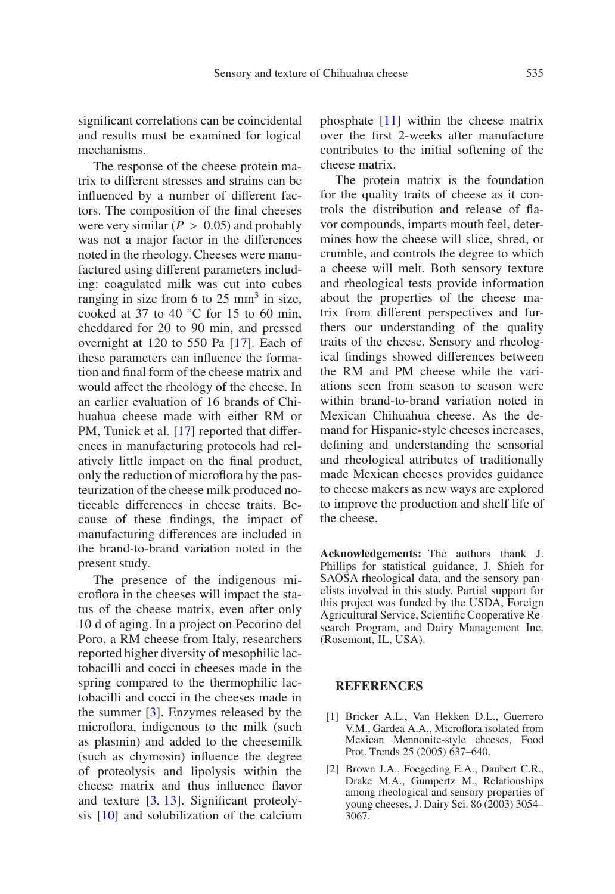significant correlations can be coincidental and results must be examined for logical mechanisms.

The response of the cheese protein matrix to different stresses and strains can be influenced by a number of different factors. The composition of the final cheeses were very similar  $(P > 0.05)$  and probably was not a major factor in the differences noted in the rheology. Cheeses were manufactured using different parameters including: coagulated milk was cut into cubes ranging in size from 6 to 25 mm<sup>3</sup> in size, cooked at 37 to 40  $°C$  for 15 to 60 min. cheddared for 20 to 90 min, and pressed overnight at 120 to 550 Pa [\[17](#page-11-4)]. Each of these parameters can influence the formation and final form of the cheese matrix and would affect the rheology of the cheese. In an earlier evaluation of 16 brands of Chihuahua cheese made with either RM or PM, Tunick et al. [\[17](#page-11-4)] reported that differences in manufacturing protocols had relatively little impact on the final product, only the reduction of microflora by the pasteurization of the cheese milk produced noticeable differences in cheese traits. Because of these findings, the impact of manufacturing differences are included in the brand-to-brand variation noted in the present study.

The presence of the indigenous microflora in the cheeses will impact the status of the cheese matrix, even after only 10 d of aging. In a project on Pecorino del Poro, a RM cheese from Italy, researchers reported higher diversity of mesophilic lactobacilli and cocci in cheeses made in the spring compared to the thermophilic lactobacilli and cocci in the cheeses made in the summer [\[3\]](#page-11-14). Enzymes released by the microflora, indigenous to the milk (such as plasmin) and added to the cheesemilk (such as chymosin) influence the degree of proteolysis and lipolysis within the cheese matrix and thus influence flavor and texture [\[3](#page-11-14), [13\]](#page-11-15). Significant proteolysis [\[10\]](#page-11-17) and solubilization of the calcium

phosphate [\[11](#page-11-12)] within the cheese matrix over the first 2-weeks after manufacture contributes to the initial softening of the cheese matrix.

The protein matrix is the foundation for the quality traits of cheese as it controls the distribution and release of flavor compounds, imparts mouth feel, determines how the cheese will slice, shred, or crumble, and controls the degree to which a cheese will melt. Both sensory texture and rheological tests provide information about the properties of the cheese matrix from different perspectives and furthers our understanding of the quality traits of the cheese. Sensory and rheological findings showed differences between the RM and PM cheese while the variations seen from season to season were within brand-to-brand variation noted in Mexican Chihuahua cheese. As the demand for Hispanic-style cheeses increases, defining and understanding the sensorial and rheological attributes of traditionally made Mexican cheeses provides guidance to cheese makers as new ways are explored to improve the production and shelf life of the cheese.

**Acknowledgements:** The authors thank J. Phillips for statistical guidance, J. Shieh for SAOSA rheological data, and the sensory panelists involved in this study. Partial support for this project was funded by the USDA, Foreign Agricultural Service, Scientific Cooperative Research Program, and Dairy Management Inc. (Rosemont, IL, USA).

#### **REFERENCES**

- <span id="page-10-0"></span>[1] Bricker A.L., Van Hekken D.L., Guerrero V.M., Gardea A.A., Microflora isolated from Mexican Mennonite-style cheeses, Food Prot. Trends 25 (2005) 637–640.
- <span id="page-10-1"></span>[2] Brown J.A., Foegeding E.A., Daubert C.R., Drake M.A., Gumpertz M., Relationships among rheological and sensory properties of young cheeses, J. Dairy Sci. 86 (2003) 3054– 3067.